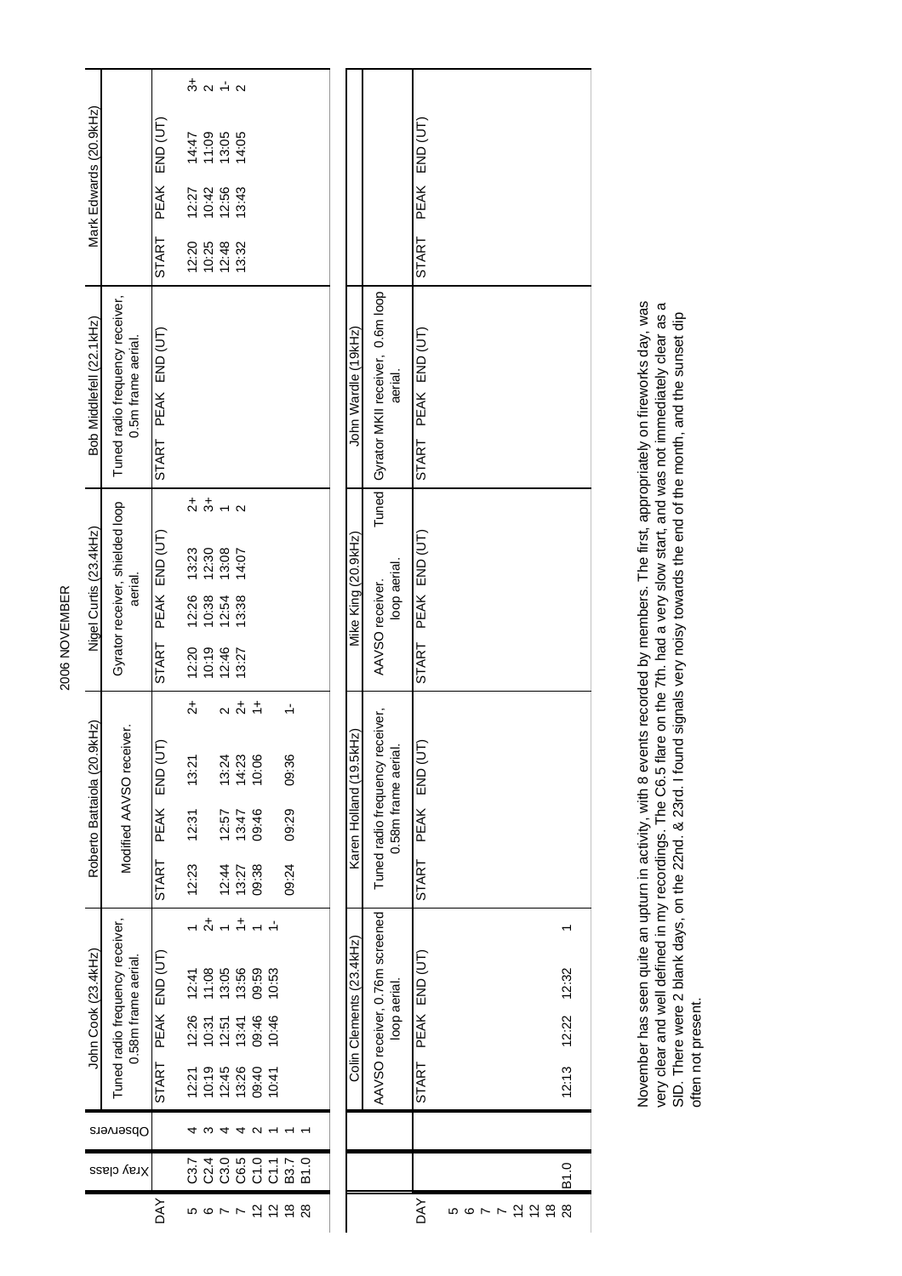| Mark Edwards (20.9kHz)      |                                                        |                        |                      | $\frac{4}{3}$ a $\frac{1}{5}$ a                             |                         |                                         |                |        |                   |  |                          |                                        |                                               |                     |   |                |                |     |       |
|-----------------------------|--------------------------------------------------------|------------------------|----------------------|-------------------------------------------------------------|-------------------------|-----------------------------------------|----------------|--------|-------------------|--|--------------------------|----------------------------------------|-----------------------------------------------|---------------------|---|----------------|----------------|-----|-------|
|                             |                                                        | PEAK END (UT)          |                      | 14:47<br>11:09                                              | 13:05<br>14:05          |                                         |                |        |                   |  |                          |                                        |                                               | START PEAK END (UT) |   |                |                |     |       |
|                             |                                                        |                        |                      | $727$<br>$726$<br>$726$<br>$726$<br>$726$<br>$726$<br>$726$ |                         |                                         |                |        |                   |  |                          |                                        |                                               |                     |   |                |                |     |       |
|                             |                                                        | <b>START</b>           |                      | 12:20<br>10:25<br>12:48                                     |                         | 13:32                                   |                |        |                   |  |                          |                                        |                                               |                     |   |                |                |     |       |
| Bob Middlefell (22.1kHz)    | Tuned radio frequency receiver,<br>0.5m frame aerial.  | PEAK END (UT)<br>START |                      |                                                             |                         |                                         |                |        |                   |  | John Wardle (19kHz)      | Tuned Gyrator MKII receiver, 0.6m loop | aerial.                                       | START PEAK END (UT) |   |                |                |     |       |
| Nigel Curtis (23.4kHz)      | Gyrator receiver, shielded loop<br>aerial.             |                        | $\stackrel{+}{\sim}$ | $\ddot{\mathrm{d}}$                                         |                         | $\mathbf{\Omega}$                       |                |        |                   |  | Mike King (20.9kHz)      |                                        |                                               |                     |   |                |                |     |       |
|                             |                                                        | PEAK END (UT)          |                      | $13:30$<br>$12:30$<br>$13:08$                               |                         | 14:07                                   |                |        |                   |  |                          | loop aerial.<br>AAVSO receiver.        |                                               | START PEAK END (UT) |   |                |                |     |       |
|                             |                                                        |                        |                      | $12:26$<br>$10:38$                                          | 12:54                   | 13:38                                   |                |        |                   |  |                          |                                        |                                               |                     |   |                |                |     |       |
|                             |                                                        | START                  |                      | $12:20$<br>$10:19$                                          | 12:46<br>13:27          |                                         |                |        |                   |  |                          |                                        |                                               |                     |   |                |                |     |       |
| Roberto Battaiola (20.9kHz) | Modified AAVSO receiver.                               |                        | $\frac{1}{2}$        |                                                             | $\overline{\mathsf{N}}$ | $\frac{1}{2}$                           | $\div$         | $\div$ |                   |  |                          |                                        | eceiver,<br>0.58m frame aerial.               |                     |   |                |                |     |       |
|                             |                                                        | END (UT)               | 13:21                |                                                             |                         | 13:24<br>14:23<br>10:06                 |                | 09:36  |                   |  |                          |                                        |                                               | ΙÊ                  |   |                |                |     |       |
|                             |                                                        | PEAK                   | 12:31                |                                                             | 12.57                   | 13:47                                   | 09:46          | 09:29  |                   |  | Karen Holland (19.5kHz)  | Tuned radio frequency r                | PEAK END (U                                   |                     |   |                |                |     |       |
|                             |                                                        | START                  | 12:23                |                                                             | 12:44                   | 13:27                                   | 09:38          | 09:24  |                   |  |                          |                                        |                                               | <b>START</b>        |   |                |                |     |       |
| John Cook (23.4kHz)         | Tuned radio frequency receiver,<br>0.58m frame aerial. |                        |                      | $\stackrel{+}{\sim}$                                        |                         | $\stackrel{+}{\scriptstyle\rightarrow}$ |                |        |                   |  |                          |                                        |                                               |                     |   |                |                |     |       |
|                             |                                                        | PEAK END (UT)          |                      | $12:41$<br>$11:08$                                          | $13:56$<br>$13:56$      |                                         | 09:59<br>10:53 |        |                   |  | Colin Clements (23.4kHz) |                                        |                                               | PEAK END (UT)       |   |                |                |     | 12:32 |
|                             |                                                        |                        |                      | $12:26$<br>$10:31$                                          | $12:51$<br>$13:41$      |                                         | 09:46<br>10:46 |        |                   |  |                          |                                        | AAVSO receiver, 0.76m screened<br>loop aerial |                     |   |                |                |     | 12:22 |
|                             |                                                        | START                  |                      | $12:21$<br>$10:19$                                          | 12:45                   | 13:26                                   | 09:40<br>10:41 |        |                   |  |                          |                                        |                                               | START               |   |                |                |     | 12:13 |
|                             | Observers                                              |                        |                      | ო                                                           | 4                       | 4                                       | $\sim$         |        |                   |  |                          |                                        |                                               |                     |   |                |                |     |       |
|                             | Xray class                                             |                        |                      |                                                             |                         |                                         |                |        | $\overline{51.0}$ |  |                          |                                        |                                               |                     |   |                |                |     | B1.0  |
|                             |                                                        | DАY                    |                      | ဖာ ထ                                                        | $\sim$ $\sim$           |                                         | 229            |        | 28                |  |                          |                                        |                                               | <b>AYO</b>          | Ю | $\circ$ $\sim$ | $\overline{ }$ | 299 | 28    |

November has seen quite an upturn in activity, with 8 events recorded by members. The first, appropriately on fireworks day, was<br>very clear and well defined in my recordings. The C6.5 flare on the 7th. had a very slow star November has seen quite an upturn in activity, with 8 events recorded by members. The first, appropriately on fireworks day, was very clear and well defined in my recordings. The C6.5 flare on the 7th. had a very slow start, and was not immediately clear as a SID. There were 2 blank days, on the 22nd. & 23rd. I found signals very noisy towards the end of the month, and the sunset dip often not present.

2006 NOVEMBER 2006 NOVEMBER